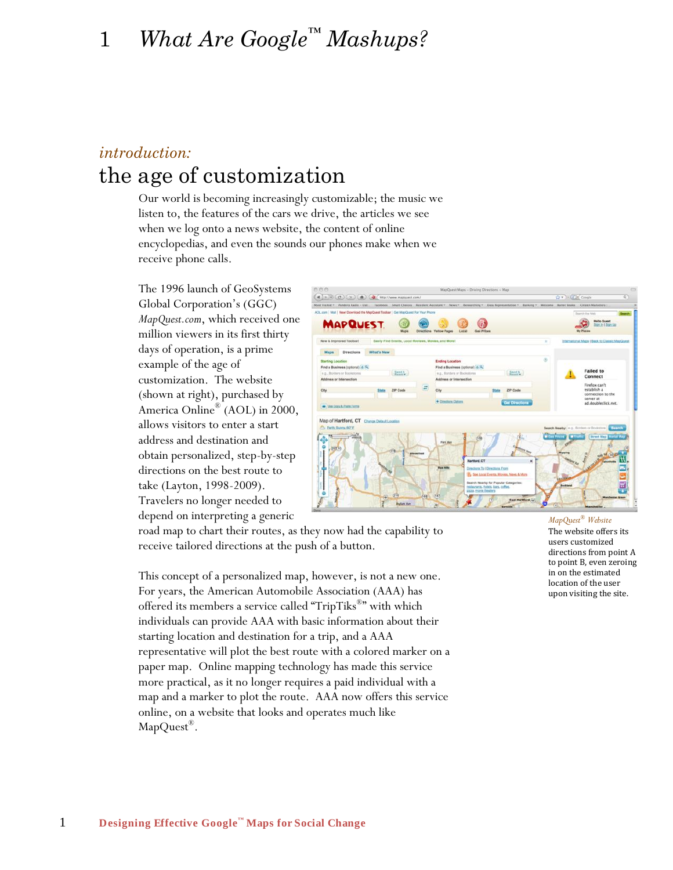# 1 *What Are Google™ Mashups?*

## *introduction:* the age of customization

Our world is becoming increasingly customizable; the music we listen to, the features of the cars we drive, the articles we see when we log onto a news website, the content of online encyclopedias, and even the sounds our phones make when we receive phone calls.

The 1996 launch of GeoSystems Global Corporation"s (GGC) *MapQuest.com*, which received one million viewers in its first thirty days of operation, is a prime example of the age of customization. The website (shown at right), purchased by America Online ® (AOL) in 2000, allows visitors to enter a start address and destination and obtain personalized, step-by-step directions on the best route to take (Layton, 1998-2009). Travelers no longer needed to depend on interpreting a generic



road map to chart their routes, as they now had the capability to receive tailored directions at the push of a button.

This concept of a personalized map, however, is not a new one. For years, the American Automobile Association (AAA) has offered its members a service called "TripTiks®" with which individuals can provide AAA with basic information about their starting location and destination for a trip, and a AAA representative will plot the best route with a colored marker on a paper map. Online mapping technology has made this service more practical, as it no longer requires a paid individual with a map and a marker to plot the route. AAA now offers this service online, on a website that looks and operates much like MapQuest®.

*MapQuest® Website* The website offers its users customized directions from point A to point B, even zeroing in on the estimated location of the user upon visiting the site.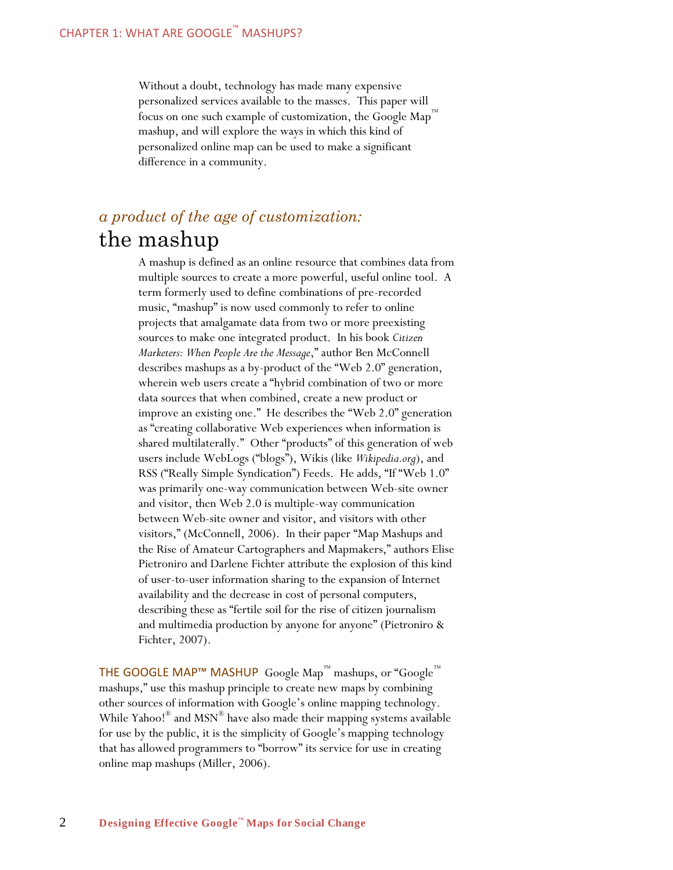Without a doubt, technology has made many expensive personalized services available to the masses. This paper will focus on one such example of customization, the Google  $\text{Map}^{\mathbb{m}}$ mashup, and will explore the ways in which this kind of personalized online map can be used to make a significant difference in a community.

### *a product of the age of customization:* the mashup

A mashup is defined as an online resource that combines data from multiple sources to create a more powerful, useful online tool. A term formerly used to define combinations of pre-recorded music, "mashup" is now used commonly to refer to online projects that amalgamate data from two or more preexisting sources to make one integrated product. In his book *Citizen Marketers: When People Are the Message*," author Ben McConnell describes mashups as a by-product of the "Web 2.0" generation, wherein web users create a "hybrid combination of two or more data sources that when combined, create a new product or improve an existing one." He describes the "Web 2.0" generation as "creating collaborative Web experiences when information is shared multilaterally." Other "products" of this generation of web users include WebLogs ("blogs"), Wikis (like *Wikipedia.org*), and RSS ("Really Simple Syndication") Feeds. He adds, "If "Web 1.0" was primarily one-way communication between Web-site owner and visitor, then Web 2.0 is multiple-way communication between Web-site owner and visitor, and visitors with other visitors," (McConnell, 2006). In their paper "Map Mashups and the Rise of Amateur Cartographers and Mapmakers," authors Elise Pietroniro and Darlene Fichter attribute the explosion of this kind of user-to-user information sharing to the expansion of Internet availability and the decrease in cost of personal computers, describing these as "fertile soil for the rise of citizen journalism and multimedia production by anyone for anyone" (Pietroniro & Fichter, 2007).

THE GOOGLE MAP™ MASHUP Google Map $^{\text{m}}$  mashups, or "Google™ mashups," use this mashup principle to create new maps by combining other sources of information with Google"s online mapping technology. While Yahoo!® and MSN® have also made their mapping systems available for use by the public, it is the simplicity of Google's mapping technology that has allowed programmers to "borrow" its service for use in creating online map mashups (Miller, 2006).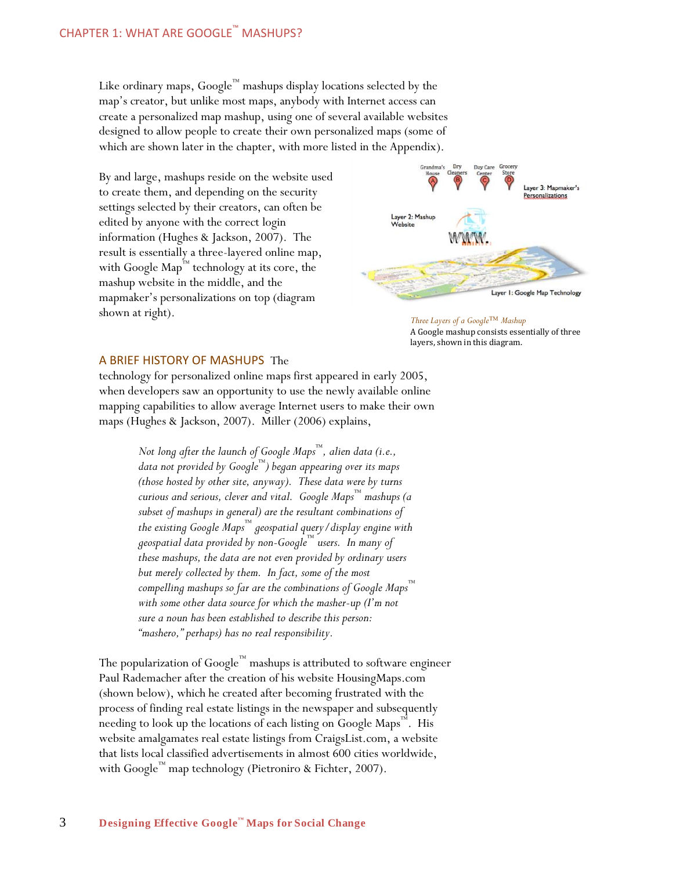Like ordinary maps,  $Google^{\mathbb{N}}$  mashups display locations selected by the map"s creator, but unlike most maps, anybody with Internet access can create a personalized map mashup, using one of several available websites designed to allow people to create their own personalized maps (some of which are shown later in the chapter, with more listed in the Appendix).

By and large, mashups reside on the website used to create them, and depending on the security settings selected by their creators, can often be edited by anyone with the correct login information (Hughes & Jackson, 2007). The result is essentially a three-layered online map, with Google Map ™ technology at its core, the mashup website in the middle, and the mapmaker"s personalizations on top (diagram shown at right).



*Three Layers of a Google™ Mashup* A Google mashup consists essentially of three layers, shown in this diagram.

### A BRIEF HISTORY OF MASHUPS The

technology for personalized online maps first appeared in early 2005, when developers saw an opportunity to use the newly available online mapping capabilities to allow average Internet users to make their own maps (Hughes & Jackson, 2007). Miller (2006) explains,

> *Not long after the launch of Google Maps ™, alien data (i.e., data not provided by Google™) began appearing over its maps (those hosted by other site, anyway). These data were by turns curious and serious, clever and vital. Google Maps ™ mashups (a subset of mashups in general) are the resultant combinations of the existing Google Maps™ geospatial query/display engine with geospatial data provided by non-Google™ users. In many of these mashups, the data are not even provided by ordinary users but merely collected by them. In fact, some of the most compelling mashups so far are the combinations of Google Maps™ with some other data source for which the masher-up (I'm not sure a noun has been established to describe this person: "mashero," perhaps) has no real responsibility.*

The popularization of Google™ mashups is attributed to software engineer Paul Rademacher after the creation of his website HousingMaps.com (shown below), which he created after becoming frustrated with the process of finding real estate listings in the newspaper and subsequently needing to look up the locations of each listing on Google Maps™. His website amalgamates real estate listings from CraigsList.com, a website that lists local classified advertisements in almost 600 cities worldwide, with Google™ map technology (Pietroniro & Fichter, 2007).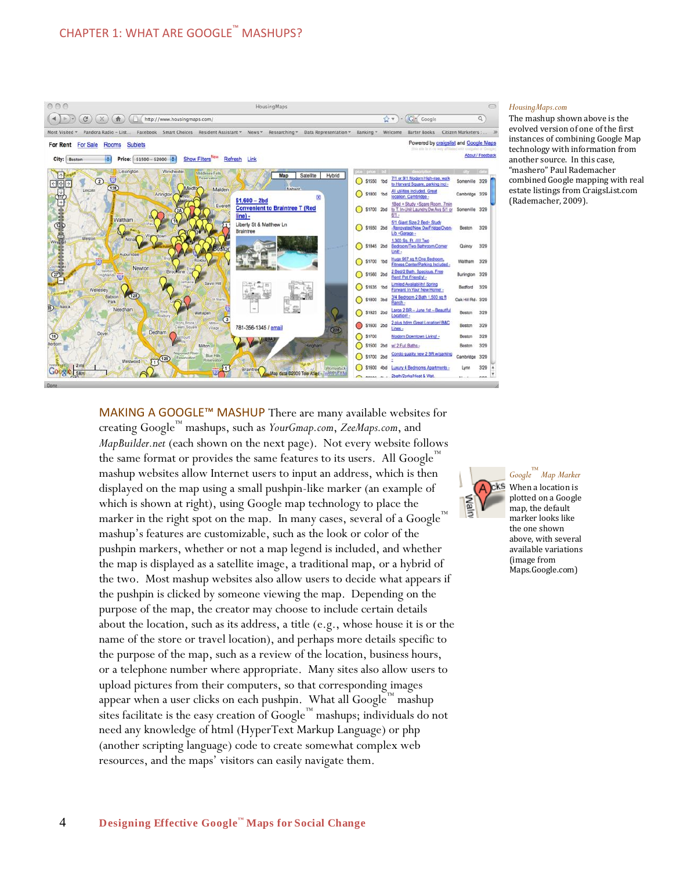

#### *HousingMaps.com*

The mashup shown above is the evolved version of one of the first instances of combining Google Map technology with information from another source. In this case, "mashero" Paul Rademacher combined Google mapping with real estate listings from CraigsList.com (Rademacher, 2009).

MAKING A GOOGLE™ MASHUP There are many available websites for creating Google™ mashups, such as *YourGmap.com*, *ZeeMaps.com*, and *MapBuilder.net* (each shown on the next page). Not every website follows the same format or provides the same features to its users. All Google™ mashup websites allow Internet users to input an address, which is then displayed on the map using a small pushpin-like marker (an example of which is shown at right), using Google map technology to place the marker in the right spot on the map. In many cases, several of a Google mashup"s features are customizable, such as the look or color of the pushpin markers, whether or not a map legend is included, and whether the map is displayed as a satellite image, a traditional map, or a hybrid of the two. Most mashup websites also allow users to decide what appears if the pushpin is clicked by someone viewing the map. Depending on the purpose of the map, the creator may choose to include certain details about the location, such as its address, a title (e.g., whose house it is or the name of the store or travel location), and perhaps more details specific to the purpose of the map, such as a review of the location, business hours, or a telephone number where appropriate. Many sites also allow users to upload pictures from their computers, so that corresponding images appear when a user clicks on each pushpin. What all Google<sup>™</sup> mashup sites facilitate is the easy creation of  $Google^{\mathbb{N}}$  mashups; individuals do not need any knowledge of html (HyperText Markup Language) or php (another scripting language) code to create somewhat complex web resources, and the maps' visitors can easily navigate them.



*Google™ Map Marker* When a location is plotted on a Google map, the default marker looks like the one shown above, with several available variations (image from Maps.Google.com)